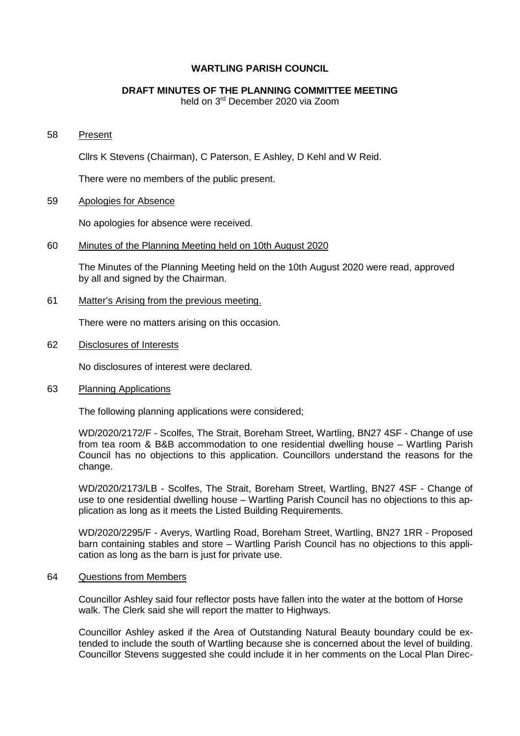## **WARTLING PARISH COUNCIL**

# **DRAFT MINUTES OF THE PLANNING COMMITTEE MEETING**

held on 3rd December 2020 via Zoom

#### 58 Present

Cllrs K Stevens (Chairman), C Paterson, E Ashley, D Kehl and W Reid.

There were no members of the public present.

### 59 Apologies for Absence

No apologies for absence were received.

### 60 Minutes of the Planning Meeting held on 10th August 2020

The Minutes of the Planning Meeting held on the 10th August 2020 were read, approved by all and signed by the Chairman.

### 61 Matter's Arising from the previous meeting.

There were no matters arising on this occasion.

62 Disclosures of Interests

No disclosures of interest were declared.

63 Planning Applications

The following planning applications were considered;

WD/2020/2172/F - Scolfes, The Strait, Boreham Street, Wartling, BN27 4SF - Change of use from tea room & B&B accommodation to one residential dwelling house – Wartling Parish Council has no objections to this application. Councillors understand the reasons for the change.

WD/2020/2173/LB - Scolfes, The Strait, Boreham Street, Wartling, BN27 4SF - Change of use to one residential dwelling house – Wartling Parish Council has no objections to this application as long as it meets the Listed Building Requirements.

WD/2020/2295/F - Averys, Wartling Road, Boreham Street, Wartling, BN27 1RR - Proposed barn containing stables and store – Wartling Parish Council has no objections to this application as long as the barn is just for private use.

### 64 Questions from Members

Councillor Ashley said four reflector posts have fallen into the water at the bottom of Horse walk. The Clerk said she will report the matter to Highways.

Councillor Ashley asked if the Area of Outstanding Natural Beauty boundary could be extended to include the south of Wartling because she is concerned about the level of building. Councillor Stevens suggested she could include it in her comments on the Local Plan Direc